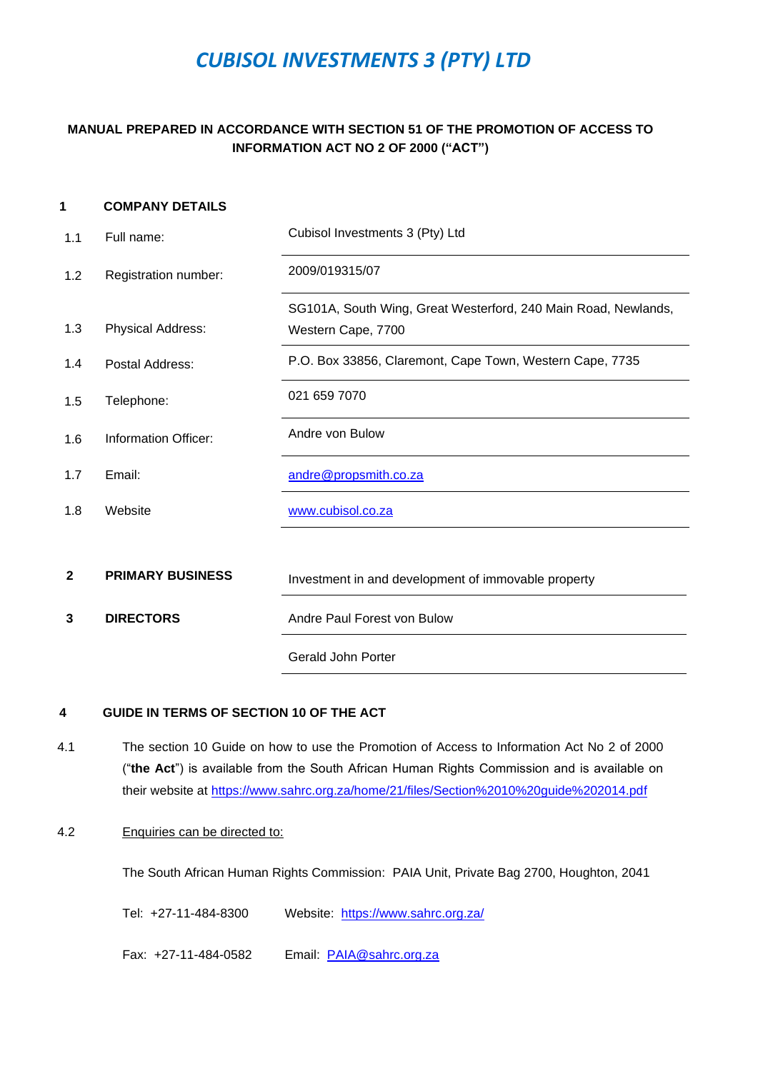# *CUBISOL INVESTMENTS 3 (PTY) LTD*

# **MANUAL PREPARED IN ACCORDANCE WITH SECTION 51 OF THE PROMOTION OF ACCESS TO INFORMATION ACT NO 2 OF 2000 ("ACT")**

## <span id="page-0-0"></span>**1 COMPANY DETAILS**

| 1.1          | Full name:              | Cubisol Investments 3 (Pty) Ltd                                                      |  |
|--------------|-------------------------|--------------------------------------------------------------------------------------|--|
| 1.2          | Registration number:    | 2009/019315/07                                                                       |  |
| 1.3          | Physical Address:       | SG101A, South Wing, Great Westerford, 240 Main Road, Newlands,<br>Western Cape, 7700 |  |
| 1.4          | Postal Address:         | P.O. Box 33856, Claremont, Cape Town, Western Cape, 7735                             |  |
| 1.5          | Telephone:              | 021 659 7070                                                                         |  |
| 1.6          | Information Officer:    | Andre von Bulow                                                                      |  |
| 1.7          | Email:                  | andre@propsmith.co.za                                                                |  |
| 1.8          | Website                 | www.cubisol.co.za                                                                    |  |
|              |                         |                                                                                      |  |
| $\mathbf{2}$ | <b>PRIMARY BUSINESS</b> | Investment in and development of immovable property                                  |  |
| 3            | <b>DIRECTORS</b>        | Andre Paul Forest von Bulow                                                          |  |
|              |                         | <b>Gerald John Porter</b>                                                            |  |

#### **4 GUIDE IN TERMS OF SECTION 10 OF THE ACT**

4.1 The section 10 Guide on how to use the Promotion of Access to Information Act No 2 of 2000 ("**the Act**") is available from the South African Human Rights Commission and is available on their website at<https://www.sahrc.org.za/home/21/files/Section%2010%20guide%202014.pdf>

### 4.2 Enquiries can be directed to:

The South African Human Rights Commission: PAIA Unit, Private Bag 2700, Houghton, 2041

Tel: +27-11-484-8300 Website: <https://www.sahrc.org.za/>

Fax: +27-11-484-0582 Email: [PAIA@sahrc.org.za](mailto:PAIA@sahrc.org.za)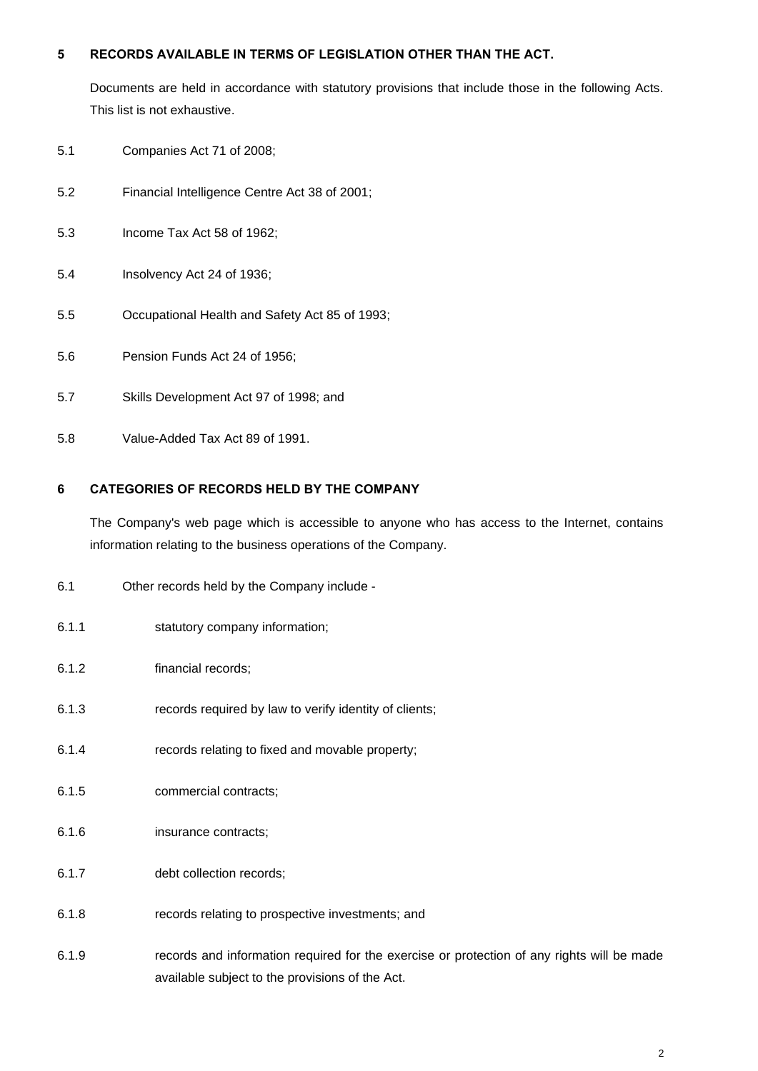### **5 RECORDS AVAILABLE IN TERMS OF LEGISLATION OTHER THAN THE ACT.**

Documents are held in accordance with statutory provisions that include those in the following Acts. This list is not exhaustive.

- 5.1 Companies Act 71 of 2008;
- 5.2 Financial Intelligence Centre Act 38 of 2001;
- 5.3 Income Tax Act 58 of 1962;
- 5.4 Insolvency Act 24 of 1936;
- 5.5 Occupational Health and Safety Act 85 of 1993;
- 5.6 Pension Funds Act 24 of 1956;
- 5.7 Skills Development Act 97 of 1998; and
- 5.8 Value-Added Tax Act 89 of 1991.

## **6 CATEGORIES OF RECORDS HELD BY THE COMPANY**

The Company's web page which is accessible to anyone who has access to the Internet, contains information relating to the business operations of the Company.

- 6.1 Other records held by the Company include -
- 6.1.1 statutory company information;
- 6.1.2 financial records;
- 6.1.3 records required by law to verify identity of clients;
- 6.1.4 records relating to fixed and movable property;
- 6.1.5 commercial contracts;
- 6.1.6 insurance contracts;
- 6.1.7 debt collection records;
- 6.1.8 records relating to prospective investments; and
- 6.1.9 records and information required for the exercise or protection of any rights will be made available subject to the provisions of the Act.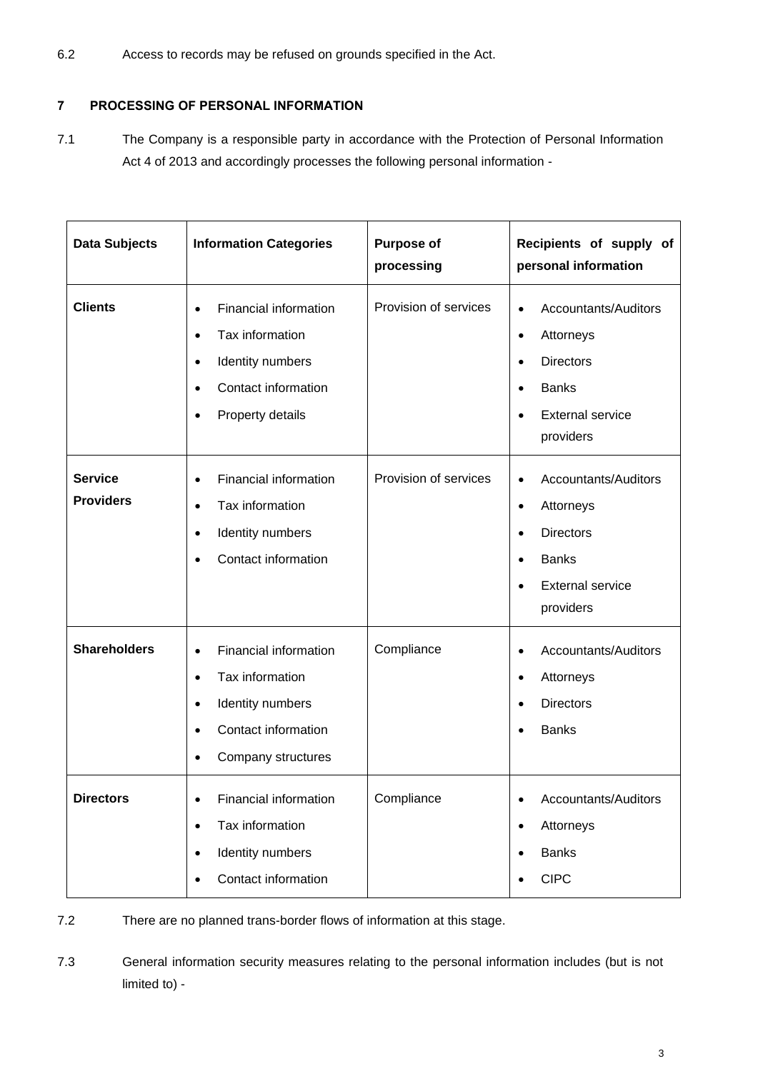6.2 Access to records may be refused on grounds specified in the Act.

# **7 PROCESSING OF PERSONAL INFORMATION**

7.1 The Company is a responsible party in accordance with the Protection of Personal Information Act 4 of 2013 and accordingly processes the following personal information -

| <b>Data Subjects</b>               | <b>Information Categories</b>                                                                                                                                            | <b>Purpose of</b><br>processing | Recipients of supply of<br>personal information                                                                                                                   |
|------------------------------------|--------------------------------------------------------------------------------------------------------------------------------------------------------------------------|---------------------------------|-------------------------------------------------------------------------------------------------------------------------------------------------------------------|
| <b>Clients</b>                     | Financial information<br>$\bullet$<br>Tax information<br>$\bullet$<br>Identity numbers<br>$\bullet$<br>Contact information<br>$\bullet$<br>Property details<br>$\bullet$ | Provision of services           | Accountants/Auditors<br>$\bullet$<br>Attorneys<br>$\bullet$<br><b>Directors</b><br>$\bullet$<br><b>Banks</b><br><b>External service</b><br>providers              |
| <b>Service</b><br><b>Providers</b> | Financial information<br>$\bullet$<br>Tax information<br>$\bullet$<br>Identity numbers<br>$\bullet$<br>Contact information<br>$\bullet$                                  | Provision of services           | Accountants/Auditors<br>$\bullet$<br>Attorneys<br>$\bullet$<br><b>Directors</b><br>$\bullet$<br><b>Banks</b><br>$\bullet$<br><b>External service</b><br>providers |
| <b>Shareholders</b>                | Financial information<br>$\bullet$<br>Tax information<br>$\bullet$<br>Identity numbers<br>$\bullet$<br>Contact information<br>Company structures<br>$\bullet$            | Compliance                      | Accountants/Auditors<br>$\bullet$<br>Attorneys<br>$\bullet$<br><b>Directors</b><br>$\bullet$<br><b>Banks</b>                                                      |
| <b>Directors</b>                   | Financial information<br>$\bullet$<br>Tax information<br>$\bullet$<br>Identity numbers<br>$\bullet$<br>Contact information<br>$\bullet$                                  | Compliance                      | Accountants/Auditors<br>٠<br>Attorneys<br>٠<br><b>Banks</b><br>$\bullet$<br><b>CIPC</b><br>$\bullet$                                                              |

7.2 There are no planned trans-border flows of information at this stage.

7.3 General information security measures relating to the personal information includes (but is not limited to) -